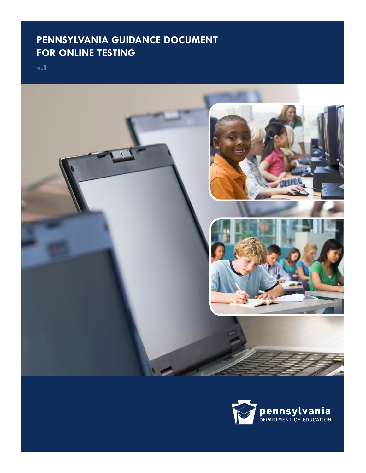# **PENNSYLVANIA GUIDANCE DOCUMENT FOR ONLINE TESTING**

**v.1**



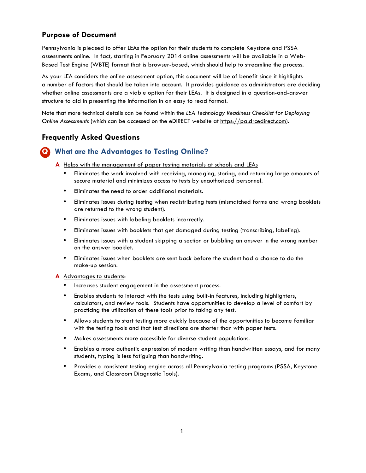### **Purpose of Document**

Pennsylvania is pleased to offer LEAs the option for their students to complete Keystone and PSSA assessments online. In fact, starting in February 2014 online assessments will be available in a Web-Based Test Engine (WBTE) format that is browser-based, which should help to streamline the process.

As your LEA considers the online assessment option, this document will be of benefit since it highlights a number of factors that should be taken into account. It provides guidance as administrators are deciding whether online assessments are a viable option for their LEAs. It is designed in a question-and-answer structure to aid in presenting the information in an easy to read format.

Note that more technical details can be found within the *LEA Technology Readiness Checklist for Deploying Online Assessments* (which can be accessed on the eDIRECT website at https://pa.drcedirect.com).

#### **Frequently Asked Questions**

### **Q What are the Advantages to Testing Online?**

**A** Helps with the management of paper testing materials at schools and LEAs

- Eliminates the work involved with receiving, managing, storing, and returning large amounts of secure material and minimizes access to tests by unauthorized personnel.
- Eliminates the need to order additional materials.
- Eliminates issues during testing when redistributing tests (mismatched forms and wrong booklets are returned to the wrong student).
- Eliminates issues with labeling booklets incorrectly.
- Eliminates issues with booklets that get damaged during testing (transcribing, labeling).
- Eliminates issues with a student skipping a section or bubbling an answer in the wrong number on the answer booklet.
- Eliminates issues when booklets are sent back before the student had a chance to do the make-up session.

#### **A** Advantages to students:

- Increases student engagement in the assessment process.
- Enables students to interact with the tests using built-in features, including highlighters, calculators, and review tools. Students have opportunities to develop a level of comfort by practicing the utilization of these tools prior to taking any test.
- Allows students to start testing more quickly because of the opportunities to become familiar with the testing tools and that test directions are shorter than with paper tests.
- Makes assessments more accessible for diverse student populations.
- Enables a more authentic expression of modern writing than handwritten essays, and for many students, typing is less fatiguing than handwriting.
- Provides a consistent testing engine across all Pennsylvania testing programs (PSSA, Keystone Exams, and Classroom Diagnostic Tools).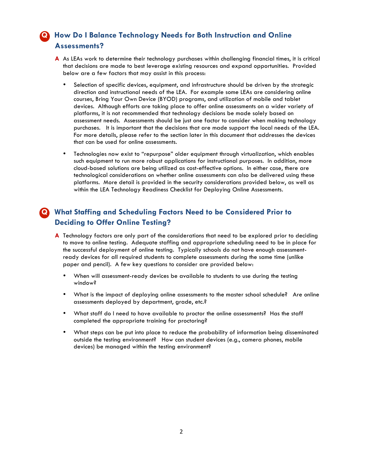# **Q How Do I Balance Technology Needs for Both Instruction and Online Assessments?**

- **A** As LEAs work to determine their technology purchases within challenging financial times, it is critical that decisions are made to best leverage existing resources and expand opportunities. Provided below are a few factors that may assist in this process:
	- Selection of specific devices, equipment, and infrastructure should be driven by the strategic direction and instructional needs of the LEA. For example some LEAs are considering online courses, Bring Your Own Device (BYOD) programs, and utilization of mobile and tablet devices. Although efforts are taking place to offer online assessments on a wider variety of platforms, it is not recommended that technology decisions be made solely based on assessment needs. Assessments should be just one factor to consider when making technology purchases. It is important that the decisions that are made support the local needs of the LEA. For more details, please refer to the section later in this document that addresses the devices that can be used for online assessments.
	- Technologies now exist to "repurpose" older equipment through virtualization, which enables such equipment to run more robust applications for instructional purposes. In addition, more cloud-based solutions are being utilized as cost-effective options. In either case, there are technological considerations on whether online assessments can also be delivered using these platforms. More detail is provided in the security considerations provided below, as well as within the LEA Technology Readiness Checklist for Deploying Online Assessments.

# **Q What Staffing and Scheduling Factors Need to be Considered Prior to Deciding to Offer Online Testing?**

- **A** Technology factors are only part of the considerations that need to be explored prior to deciding to move to online testing. Adequate staffing and appropriate scheduling need to be in place for the successful deployment of online testing. Typically schools do not have enough assessmentready devices for all required students to complete assessments during the same time (unlike paper and pencil). A few key questions to consider are provided below:
	- When will assessment-ready devices be available to students to use during the testing window?
	- What is the impact of deploying online assessments to the master school schedule? Are online assessments deployed by department, grade, etc.?
	- What staff do I need to have available to proctor the online assessments? Has the staff completed the appropriate training for proctoring?
	- What steps can be put into place to reduce the probability of information being disseminated outside the testing environment? How can student devices (e.g., camera phones, mobile devices) be managed within the testing environment?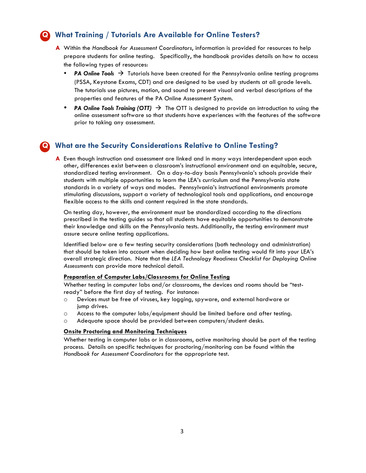### **Q What Training / Tutorials Are Available for Online Testers?**

- **A** Within the *Handbook for Assessment Coordinators*, information is provided for resources to help prepare students for online testing. Specifically, the handbook provides details on how to access the following types of resources:
	- **PA Online Tools**  $\rightarrow$  Tutorials have been created for the Pennsylvania online testing programs (PSSA, Keystone Exams, CDT) and are designed to be used by students at all grade levels. The tutorials use pictures, motion, and sound to present visual and verbal descriptions of the properties and features of the PA Online Assessment System.
	- **PA Online Tools Training (OTT)**  $\rightarrow$  The OTT is designed to provide an introduction to using the online assessment software so that students have experiences with the features of the software prior to taking any assessment.

# **Q What are the Security Considerations Relative to Online Testing?**

**A** Even though instruction and assessment are linked and in many ways interdependent upon each other, differences exist between a classroom's instructional environment and an equitable, secure, standardized testing environment. On a day-to-day basis Pennsylvania's schools provide their students with multiple opportunities to learn the LEA's curriculum and the Pennsylvania state standards in a variety of ways and modes. Pennsylvania's instructional environments promote stimulating discussions, support a variety of technological tools and applications, and encourage flexible access to the skills and content required in the state standards.

On testing day, however, the environment must be standardized according to the directions prescribed in the testing guides so that all students have equitable opportunities to demonstrate their knowledge and skills on the Pennsylvania tests. Additionally, the testing environment must assure secure online testing applications.

Identified below are a few testing security considerations (both technology and administration) that should be taken into account when deciding how best online testing would fit into your LEA's overall strategic direction. Note that the *LEA Technology Readiness Checklist for Deploying Online Assessments* can provide more technical detail.

#### **Preparation of Computer Labs/Classrooms for Online Testing**

Whether testing in computer labs and/or classrooms, the devices and rooms should be "testready" before the first day of testing. For instance:

- o Devices must be free of viruses, key logging, spyware, and external hardware or jump drives.
- o Access to the computer labs/equipment should be limited before and after testing.
- o Adequate space should be provided between computers/student desks.

#### **Onsite Proctoring and Monitoring Techniques**

Whether testing in computer labs or in classrooms, active monitoring should be part of the testing process. Details on specific techniques for proctoring/monitoring can be found within the *Handbook for Assessment Coordinators* for the appropriate test.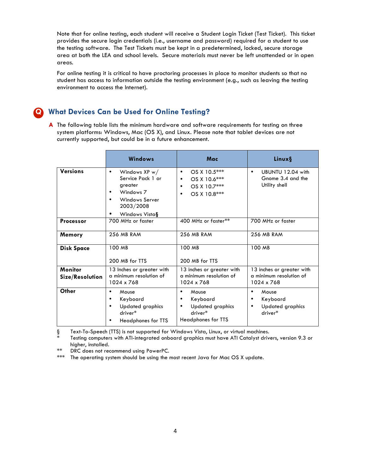Note that for online testing, each student will receive a Student Login Ticket (Test Ticket). This ticket provides the secure login credentials (i.e., username and password) required for a student to use the testing software. The Test Tickets must be kept in a predetermined, locked, secure storage area at both the LEA and school levels. Secure materials must never be left unattended or in open areas.

For online testing it is critical to have proctoring processes in place to monitor students so that no student has access to information outside the testing environment (e.g., such as leaving the testing environment to access the Internet).

### **Q What Devices Can be Used for Online Testing?**

**A** The following table lists the minimum hardware and software requirements for testing on three system platforms: Windows, Mac (OS X), and Linux. Please note that tablet devices are not currently supported, but could be in a future enhancement.

|                                   | <b>Windows</b>                                                                                                                          | Mac                                                                                                                  | Linux§                                                                 |
|-----------------------------------|-----------------------------------------------------------------------------------------------------------------------------------------|----------------------------------------------------------------------------------------------------------------------|------------------------------------------------------------------------|
| <b>Versions</b>                   | Windows $XP w /$<br>$\bullet$<br>Service Pack 1 or<br>greater<br>Windows 7<br>٠<br><b>Windows Server</b><br>2003/2008<br>Windows Vista§ | OS X 10.5***<br>$\bullet$<br>OS X 10.6***<br>$\bullet$<br>OS X 10.7***<br>$\bullet$<br>OS X 10.8***<br>$\bullet$     | UBUNTU 12.04 with<br>$\bullet$<br>Gnome 3.4 and the<br>Utility shell   |
| <b>Processor</b>                  | 700 MHz or faster                                                                                                                       | 400 MHz or faster**                                                                                                  | 700 MHz or faster                                                      |
| Memory                            | <b>256 MB RAM</b>                                                                                                                       | <b>256 MB RAM</b>                                                                                                    | <b>256 MB RAM</b>                                                      |
| <b>Disk Space</b>                 | 100 MB<br>200 MB for TTS                                                                                                                | 100 MB<br>200 MB for TTS                                                                                             | 100 MB                                                                 |
| <b>Monitor</b><br>Size/Resolution | 13 Inches or greater with<br>a minimum resolution of<br>1024 x 768                                                                      | 13 inches or greater with<br>a minimum resolution of<br>1024 x 768                                                   | 13 inches or greater with<br>a minimum resolution of<br>1024 x 768     |
| Other                             | Mouse<br>٠<br>Keyboard<br>٠<br><b>Updated graphics</b><br>٠<br>driver*<br>Headphones for TTS                                            | Mouse<br>$\bullet$<br>Keyboard<br>$\bullet$<br><b>Updated graphics</b><br>$\bullet$<br>driver*<br>Headphones for TTS | Mouse<br>٠<br>Keyboard<br>٠<br><b>Updated graphics</b><br>٠<br>driver* |

§ Text-To-Speech (TTS) is not supported for Windows Vista, Linux, or virtual machines.

Testing computers with ATI-integrated onboard graphics must have ATI Catalyst drivers, version 9.3 or higher, installed.

\*\* DRC does not recommend using PowerPC.

The operating system should be using the most recent Java for Mac OS X update.